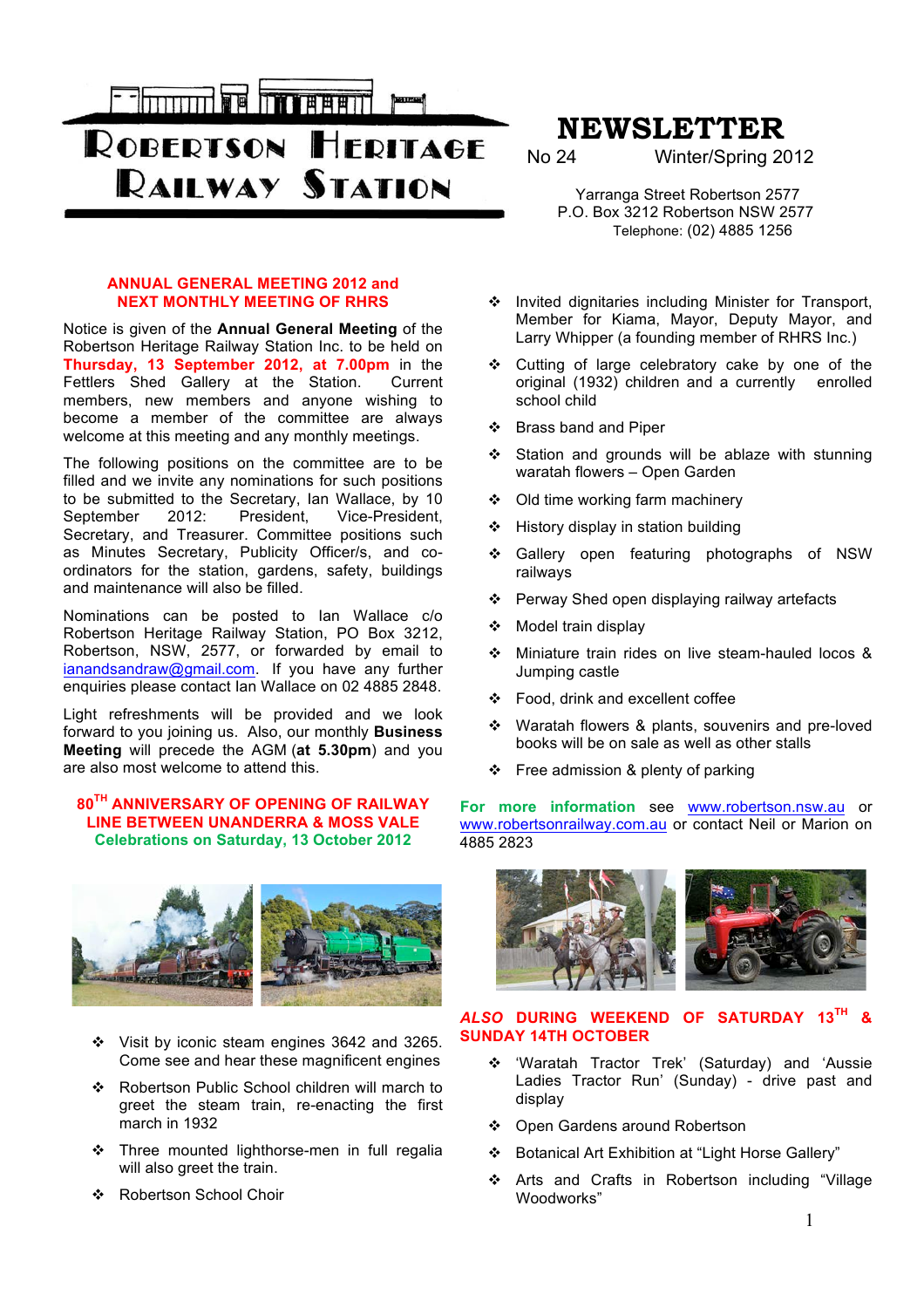

**ROBERTSON HERITAGE RAILWAY STATION** 

# **ANNUAL GENERAL MEETING 2012 and NEXT MONTHLY MEETING OF RHRS**

Notice is given of the **Annual General Meeting** of the Robertson Heritage Railway Station Inc. to be held on **Thursday, 13 September 2012, at 7.00pm** in the Fettlers Shed Gallery at the Station. Current members, new members and anyone wishing to become a member of the committee are always welcome at this meeting and any monthly meetings.

The following positions on the committee are to be filled and we invite any nominations for such positions to be submitted to the Secretary, Ian Wallace, by 10<br>September 2012: President. Vice-President. President, Vice-President, Secretary, and Treasurer. Committee positions such as Minutes Secretary, Publicity Officer/s, and coordinators for the station, gardens, safety, buildings and maintenance will also be filled.

Nominations can be posted to Ian Wallace c/o Robertson Heritage Railway Station, PO Box 3212, Robertson, NSW, 2577, or forwarded by email to ianandsandraw@gmail.com. If you have any further enquiries please contact Ian Wallace on 02 4885 2848.

Light refreshments will be provided and we look forward to you joining us. Also, our monthly **Business Meeting** will precede the AGM (**at 5.30pm**) and you are also most welcome to attend this.

## **80TH ANNIVERSARY OF OPENING OF RAILWAY LINE BETWEEN UNANDERRA & MOSS VALE Celebrations on Saturday, 13 October 2012**



- \* Visit by iconic steam engines 3642 and 3265. Come see and hear these magnificent engines
- \* Robertson Public School children will march to greet the steam train, re-enacting the first march in 1932
- \* Three mounted lighthorse-men in full regalia will also greet the train.
- ❖ Robertson School Choir

# **NEWSLETTER**

Winter/Spring 2012

 Yarranga Street Robertson 2577 P.O. Box 3212 Robertson NSW 2577 Telephone: (02) 4885 1256

- \* Invited dignitaries including Minister for Transport, Member for Kiama, Mayor, Deputy Mayor, and Larry Whipper (a founding member of RHRS Inc.)
- \* Cutting of large celebratory cake by one of the original (1932) children and a currently enrolled school child
- ❖ Brass band and Piper
- ❖ Station and grounds will be ablaze with stunning waratah flowers – Open Garden
- ◆ Old time working farm machinery
- $\div$  History display in station building
- ! Gallery open featuring photographs of NSW railways
- ❖ Perway Shed open displaying railway artefacts
- ❖ Model train display
- ! Miniature train rides on live steam-hauled locos & Jumping castle
- Food, drink and excellent coffee
- \* Waratah flowers & plants, souvenirs and pre-loved books will be on sale as well as other stalls
- $\div$  Free admission & plenty of parking

**For more information** see www.robertson.nsw.au or www.robertsonrailway.com.au or contact Neil or Marion on 4885 2823



# *ALSO* **DURING WEEKEND OF SATURDAY 13TH & SUNDAY 14TH OCTOBER**

- \* 'Waratah Tractor Trek' (Saturday) and 'Aussie Ladies Tractor Run' (Sunday) - drive past and display
- ❖ Open Gardens around Robertson
- ! Botanical Art Exhibition at "Light Horse Gallery"
- \* Arts and Crafts in Robertson including "Village Woodworks"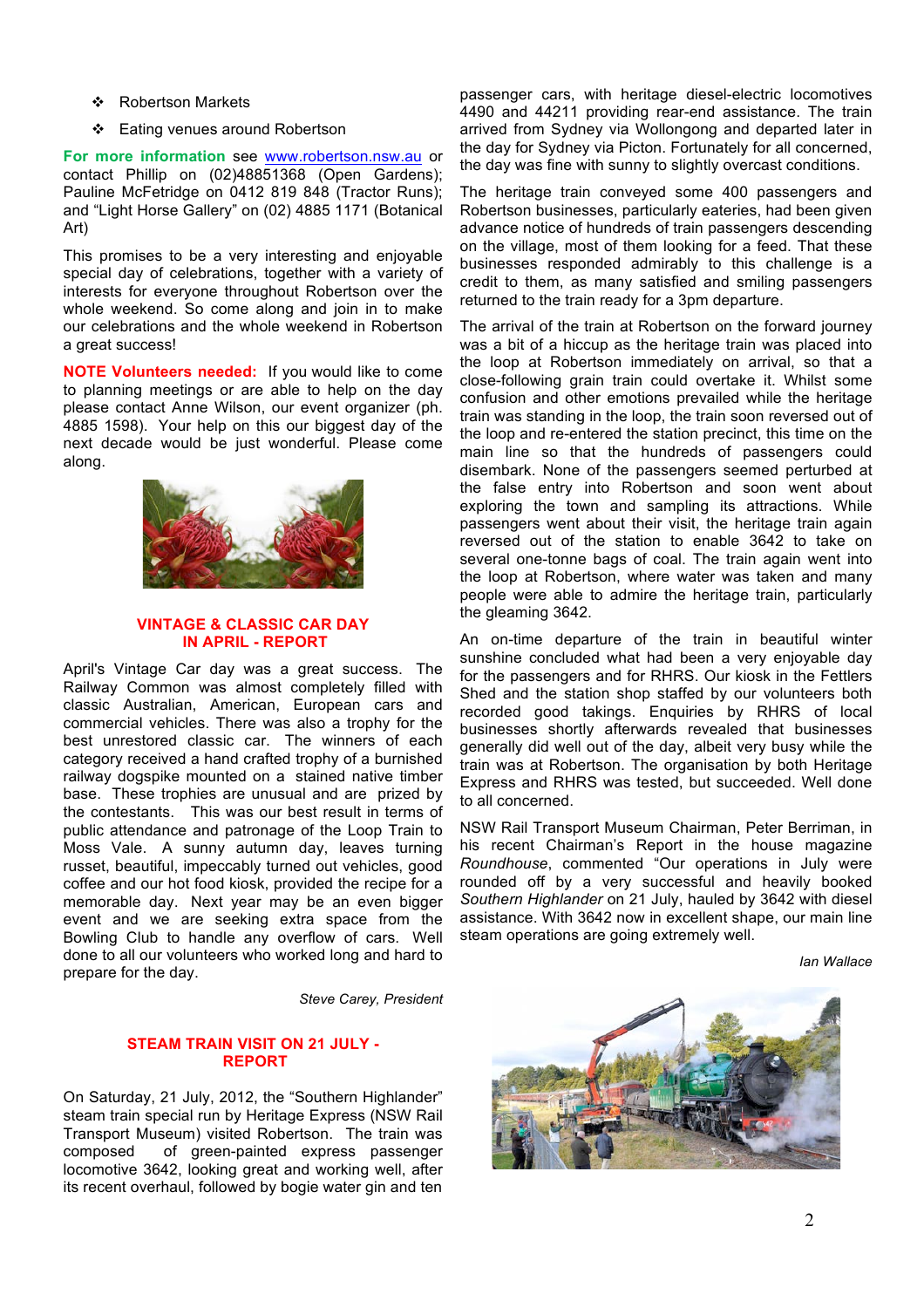- ❖ Robertson Markets
- ❖ Eating venues around Robertson

**For more information** see www.robertson.nsw.au or contact Phillip on (02)48851368 (Open Gardens); Pauline McFetridge on 0412 819 848 (Tractor Runs); and "Light Horse Gallery" on (02) 4885 1171 (Botanical Art)

This promises to be a very interesting and enjoyable special day of celebrations, together with a variety of interests for everyone throughout Robertson over the whole weekend. So come along and join in to make our celebrations and the whole weekend in Robertson a great success!

**NOTE Volunteers needed:** If you would like to come to planning meetings or are able to help on the day please contact Anne Wilson, our event organizer (ph. 4885 1598). Your help on this our biggest day of the next decade would be just wonderful. Please come along.



## **VINTAGE & CLASSIC CAR DAY IN APRIL - REPORT**

April's Vintage Car day was a great success. The Railway Common was almost completely filled with classic Australian, American, European cars and commercial vehicles. There was also a trophy for the best unrestored classic car. The winners of each category received a hand crafted trophy of a burnished railway dogspike mounted on a stained native timber base. These trophies are unusual and are prized by the contestants. This was our best result in terms of public attendance and patronage of the Loop Train to Moss Vale. A sunny autumn day, leaves turning russet, beautiful, impeccably turned out vehicles, good coffee and our hot food kiosk, provided the recipe for a memorable day. Next year may be an even bigger event and we are seeking extra space from the Bowling Club to handle any overflow of cars. Well done to all our volunteers who worked long and hard to prepare for the day.

*Steve Carey, President*

# **STEAM TRAIN VISIT ON 21 JULY - REPORT**

On Saturday, 21 July, 2012, the "Southern Highlander" steam train special run by Heritage Express (NSW Rail Transport Museum) visited Robertson. The train was composed of green-painted express passenger locomotive 3642, looking great and working well, after its recent overhaul, followed by bogie water gin and ten passenger cars, with heritage diesel-electric locomotives 4490 and 44211 providing rear-end assistance. The train arrived from Sydney via Wollongong and departed later in the day for Sydney via Picton. Fortunately for all concerned, the day was fine with sunny to slightly overcast conditions.

The heritage train conveyed some 400 passengers and Robertson businesses, particularly eateries, had been given advance notice of hundreds of train passengers descending on the village, most of them looking for a feed. That these businesses responded admirably to this challenge is a credit to them, as many satisfied and smiling passengers returned to the train ready for a 3pm departure.

The arrival of the train at Robertson on the forward journey was a bit of a hiccup as the heritage train was placed into the loop at Robertson immediately on arrival, so that a close-following grain train could overtake it. Whilst some confusion and other emotions prevailed while the heritage train was standing in the loop, the train soon reversed out of the loop and re-entered the station precinct, this time on the main line so that the hundreds of passengers could disembark. None of the passengers seemed perturbed at the false entry into Robertson and soon went about exploring the town and sampling its attractions. While passengers went about their visit, the heritage train again reversed out of the station to enable 3642 to take on several one-tonne bags of coal. The train again went into the loop at Robertson, where water was taken and many people were able to admire the heritage train, particularly the gleaming 3642.

An on-time departure of the train in beautiful winter sunshine concluded what had been a very enjoyable day for the passengers and for RHRS. Our kiosk in the Fettlers Shed and the station shop staffed by our volunteers both recorded good takings. Enquiries by RHRS of local businesses shortly afterwards revealed that businesses generally did well out of the day, albeit very busy while the train was at Robertson. The organisation by both Heritage Express and RHRS was tested, but succeeded. Well done to all concerned.

NSW Rail Transport Museum Chairman, Peter Berriman, in his recent Chairman's Report in the house magazine *Roundhouse*, commented "Our operations in July were rounded off by a very successful and heavily booked *Southern Highlander* on 21 July, hauled by 3642 with diesel assistance. With 3642 now in excellent shape, our main line steam operations are going extremely well.

*Ian Wallace*